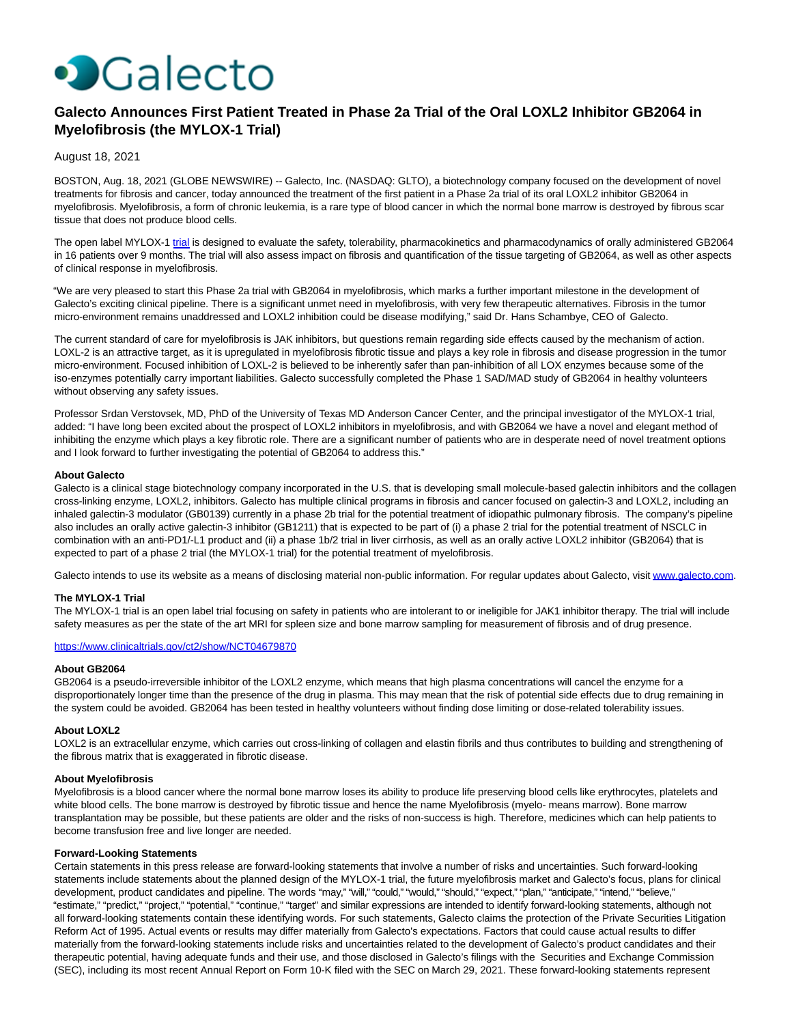

# **Galecto Announces First Patient Treated in Phase 2a Trial of the Oral LOXL2 Inhibitor GB2064 in Myelofibrosis (the MYLOX-1 Trial)**

# August 18, 2021

BOSTON, Aug. 18, 2021 (GLOBE NEWSWIRE) -- Galecto, Inc. (NASDAQ: GLTO), a biotechnology company focused on the development of novel treatments for fibrosis and cancer, today announced the treatment of the first patient in a Phase 2a trial of its oral LOXL2 inhibitor GB2064 in myelofibrosis. Myelofibrosis, a form of chronic leukemia, is a rare type of blood cancer in which the normal bone marrow is destroyed by fibrous scar tissue that does not produce blood cells.

The open label MYLOX-1 [trial i](https://www.globenewswire.com/Tracker?data=xEUbhz5TuXgTVyoPquTL5R9dA6T-ijsIKDox1vtn_Xp3J0qOFqQ8qS6MZXM7Ff8HppVTyYF6mQ2LuzoxXEmj4ysb1d0hc1Il0wXyDBlQ95bowGE8Z5YwxQLgFCdtZ881vy7I_ExIuBWA6PtRm7Z2pw==)s designed to evaluate the safety, tolerability, pharmacokinetics and pharmacodynamics of orally administered GB2064 in 16 patients over 9 months. The trial will also assess impact on fibrosis and quantification of the tissue targeting of GB2064, as well as other aspects of clinical response in myelofibrosis.

"We are very pleased to start this Phase 2a trial with GB2064 in myelofibrosis, which marks a further important milestone in the development of Galecto's exciting clinical pipeline. There is a significant unmet need in myelofibrosis, with very few therapeutic alternatives. Fibrosis in the tumor micro-environment remains unaddressed and LOXL2 inhibition could be disease modifying," said Dr. Hans Schambye, CEO of Galecto.

The current standard of care for myelofibrosis is JAK inhibitors, but questions remain regarding side effects caused by the mechanism of action. LOXL-2 is an attractive target, as it is upregulated in myelofibrosis fibrotic tissue and plays a key role in fibrosis and disease progression in the tumor micro-environment. Focused inhibition of LOXL-2 is believed to be inherently safer than pan-inhibition of all LOX enzymes because some of the iso-enzymes potentially carry important liabilities. Galecto successfully completed the Phase 1 SAD/MAD study of GB2064 in healthy volunteers without observing any safety issues.

Professor Srdan Verstovsek, MD, PhD of the University of Texas MD Anderson Cancer Center, and the principal investigator of the MYLOX-1 trial, added: "I have long been excited about the prospect of LOXL2 inhibitors in myelofibrosis, and with GB2064 we have a novel and elegant method of inhibiting the enzyme which plays a key fibrotic role. There are a significant number of patients who are in desperate need of novel treatment options and I look forward to further investigating the potential of GB2064 to address this."

## **About Galecto**

Galecto is a clinical stage biotechnology company incorporated in the U.S. that is developing small molecule-based galectin inhibitors and the collagen cross-linking enzyme, LOXL2, inhibitors. Galecto has multiple clinical programs in fibrosis and cancer focused on galectin-3 and LOXL2, including an inhaled galectin-3 modulator (GB0139) currently in a phase 2b trial for the potential treatment of idiopathic pulmonary fibrosis. The company's pipeline also includes an orally active galectin-3 inhibitor (GB1211) that is expected to be part of (i) a phase 2 trial for the potential treatment of NSCLC in combination with an anti-PD1/-L1 product and (ii) a phase 1b/2 trial in liver cirrhosis, as well as an orally active LOXL2 inhibitor (GB2064) that is expected to part of a phase 2 trial (the MYLOX-1 trial) for the potential treatment of myelofibrosis.

Galecto intends to use its website as a means of disclosing material non-public information. For regular updates about Galecto, visit [www.galecto.com.](https://www.globenewswire.com/Tracker?data=hvOXVRFpEFg145ceg0dgLVOpVAPOJPqn-p7QBTvVNNp1lqpemy_O5mCm7PKDf1YUsDVxIgEmdo_OV0kR8uLqAg==)

#### **The MYLOX-1 Trial**

The MYLOX-1 trial is an open label trial focusing on safety in patients who are intolerant to or ineligible for JAK1 inhibitor therapy. The trial will include safety measures as per the state of the art MRI for spleen size and bone marrow sampling for measurement of fibrosis and of drug presence.

# <https://www.clinicaltrials.gov/ct2/show/NCT04679870>

## **About GB2064**

GB2064 is a pseudo-irreversible inhibitor of the LOXL2 enzyme, which means that high plasma concentrations will cancel the enzyme for a disproportionately longer time than the presence of the drug in plasma. This may mean that the risk of potential side effects due to drug remaining in the system could be avoided. GB2064 has been tested in healthy volunteers without finding dose limiting or dose-related tolerability issues.

#### **About LOXL2**

LOXL2 is an extracellular enzyme, which carries out cross-linking of collagen and elastin fibrils and thus contributes to building and strengthening of the fibrous matrix that is exaggerated in fibrotic disease.

#### **About Myelofibrosis**

Myelofibrosis is a blood cancer where the normal bone marrow loses its ability to produce life preserving blood cells like erythrocytes, platelets and white blood cells. The bone marrow is destroyed by fibrotic tissue and hence the name Myelofibrosis (myelo- means marrow). Bone marrow transplantation may be possible, but these patients are older and the risks of non-success is high. Therefore, medicines which can help patients to become transfusion free and live longer are needed.

# **Forward-Looking Statements**

Certain statements in this press release are forward-looking statements that involve a number of risks and uncertainties. Such forward-looking statements include statements about the planned design of the MYLOX-1 trial, the future myelofibrosis market and Galecto's focus, plans for clinical development, product candidates and pipeline. The words "may," "will," "could," "would," "should," "expect," "plan," "anticipate," "intend," "believe," "estimate," "predict," "project," "potential," "continue," "target" and similar expressions are intended to identify forward-looking statements, although not all forward-looking statements contain these identifying words. For such statements, Galecto claims the protection of the Private Securities Litigation Reform Act of 1995. Actual events or results may differ materially from Galecto's expectations. Factors that could cause actual results to differ materially from the forward-looking statements include risks and uncertainties related to the development of Galecto's product candidates and their therapeutic potential, having adequate funds and their use, and those disclosed in Galecto's filings with the Securities and Exchange Commission (SEC), including its most recent Annual Report on Form 10-K filed with the SEC on March 29, 2021. These forward-looking statements represent